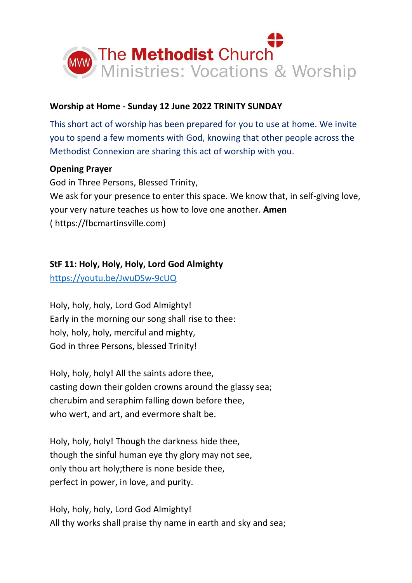

### **Worship at Home - Sunday 12 June 2022 TRINITY SUNDAY**

This short act of worship has been prepared for you to use at home. We invite you to spend a few moments with God, knowing that other people across the Methodist Connexion are sharing this act of worship with you.

### **Opening Prayer**

God in Three Persons, Blessed Trinity, We ask for your presence to enter this space. We know that, in self-giving love, your very nature teaches us how to love one another. **Amen**  ( [https://fbcmartinsville.com\)](https://fbcmartinsville.com/)

## **StF 11: Holy, Holy, Holy, Lord God Almighty**

<https://youtu.be/JwuDSw-9cUQ>

Holy, holy, holy, Lord God Almighty! Early in the morning our song shall rise to thee: holy, holy, holy, merciful and mighty, God in three Persons, blessed Trinity!

Holy, holy, holy! All the saints adore thee, casting down their golden crowns around the glassy sea; cherubim and seraphim falling down before thee, who wert, and art, and evermore shalt be.

Holy, holy, holy! Though the darkness hide thee, though the sinful human eye thy glory may not see, only thou art holy;there is none beside thee, perfect in power, in love, and purity.

Holy, holy, holy, Lord God Almighty! All thy works shall praise thy name in earth and sky and sea;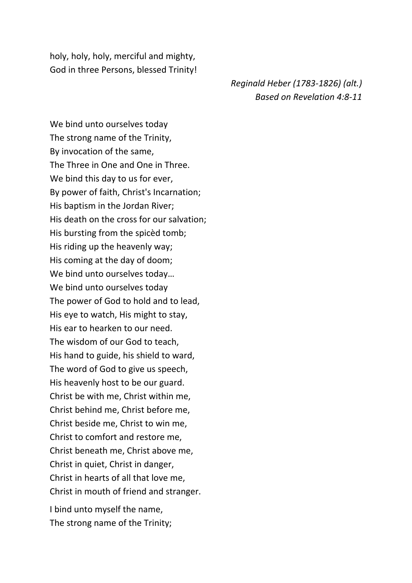holy, holy, holy, merciful and mighty, God in three Persons, blessed Trinity!

> *Reginald Heber (1783-1826) (alt.) Based on Revelation 4:8-11*

We bind unto ourselves today The strong name of the Trinity, By invocation of the same, The Three in One and One in Three. We bind this day to us for ever. By power of faith, Christ's Incarnation; His baptism in the Jordan River; His death on the cross for our salvation; His bursting from the spicèd tomb; His riding up the heavenly way; His coming at the day of doom; We bind unto ourselves today… We bind unto ourselves today The power of God to hold and to lead, His eye to watch, His might to stay, His ear to hearken to our need. The wisdom of our God to teach, His hand to guide, his shield to ward, The word of God to give us speech, His heavenly host to be our guard. Christ be with me, Christ within me, Christ behind me, Christ before me, Christ beside me, Christ to win me, Christ to comfort and restore me, Christ beneath me, Christ above me, Christ in quiet, Christ in danger, Christ in hearts of all that love me, Christ in mouth of friend and stranger. I bind unto myself the name,

The strong name of the Trinity;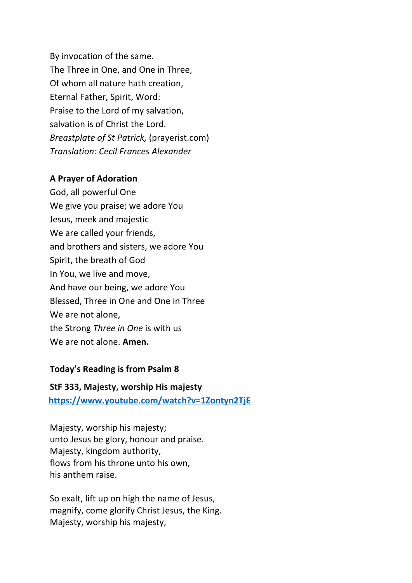By invocation of the same. The Three in One, and One in Three, Of whom all nature hath creation, Eternal Father, Spirit, Word: Praise to the Lord of my salvation, salvation is of Christ the Lord. *Breastplate of St Patrick,* [\(prayerist.com\)](https://prayerist.com/trinityprayers) *Translation: Cecil Frances Alexander*

## **A Prayer of Adoration**

God, all powerful One We give you praise; we adore You Jesus, meek and majestic We are called your friends, and brothers and sisters, we adore You Spirit, the breath of God In You, we live and move, And have our being, we adore You Blessed, Three in One and One in Three We are not alone, the Strong *Three in One* is with us We are not alone. **Amen.**

### **Today's Reading is from Psalm 8**

**StF 333, Majesty, worship His majesty <https://www.youtube.com/watch?v=1Zontyn2TjE>**

Majesty, worship his majesty; unto Jesus be glory, honour and praise. Majesty, kingdom authority, flows from his throne unto his own, his anthem raise.

So exalt, lift up on high the name of Jesus, magnify, come glorify Christ Jesus, the King. Majesty, worship his majesty,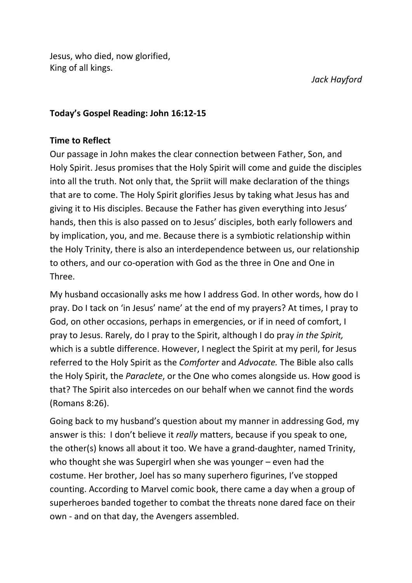Jesus, who died, now glorified, King of all kings.

*Jack Hayford*

#### **Today's Gospel Reading: John 16:12-15**

#### **Time to Reflect**

Our passage in John makes the clear connection between Father, Son, and Holy Spirit. Jesus promises that the Holy Spirit will come and guide the disciples into all the truth. Not only that, the Spriit will make declaration of the things that are to come. The Holy Spirit glorifies Jesus by taking what Jesus has and giving it to His disciples. Because the Father has given everything into Jesus' hands, then this is also passed on to Jesus' disciples, both early followers and by implication, you, and me. Because there is a symbiotic relationship within the Holy Trinity, there is also an interdependence between us, our relationship to others, and our co-operation with God as the three in One and One in Three.

My husband occasionally asks me how I address God. In other words, how do I pray. Do I tack on 'in Jesus' name' at the end of my prayers? At times, I pray to God, on other occasions, perhaps in emergencies, or if in need of comfort, I pray to Jesus. Rarely, do I pray to the Spirit, although I do pray *in the Spirit,*  which is a subtle difference. However, I neglect the Spirit at my peril, for Jesus referred to the Holy Spirit as the *Comforter* and *Advocate.* The Bible also calls the Holy Spirit, the *Paraclete*, or the One who comes alongside us. How good is that? The Spirit also intercedes on our behalf when we cannot find the words (Romans 8:26).

Going back to my husband's question about my manner in addressing God, my answer is this: I don't believe it *really* matters, because if you speak to one, the other(s) knows all about it too. We have a grand-daughter, named Trinity, who thought she was Supergirl when she was younger – even had the costume. Her brother, Joel has so many superhero figurines, I've stopped counting. According to Marvel comic book, there came a day when a group of superheroes banded together to combat the threats none dared face on their own - and on that day, the Avengers assembled.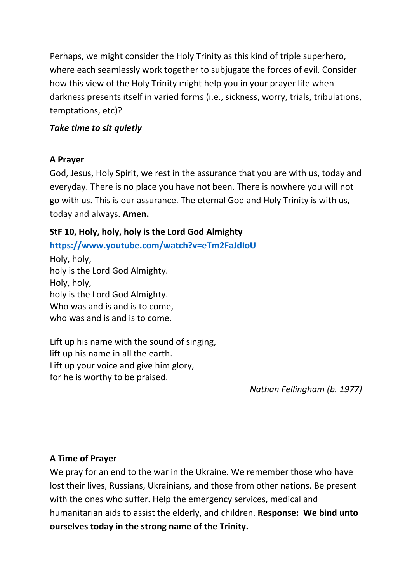Perhaps, we might consider the Holy Trinity as this kind of triple superhero, where each seamlessly work together to subjugate the forces of evil. Consider how this view of the Holy Trinity might help you in your prayer life when darkness presents itself in varied forms (i.e., sickness, worry, trials, tribulations, temptations, etc)?

## *Take time to sit quietly*

## **A Prayer**

God, Jesus, Holy Spirit, we rest in the assurance that you are with us, today and everyday. There is no place you have not been. There is nowhere you will not go with us. This is our assurance. The eternal God and Holy Trinity is with us, today and always. **Amen.**

## **StF 10, Holy, holy, holy is the Lord God Almighty**

**<https://www.youtube.com/watch?v=eTm2FaJdIoU>**

Holy, holy, holy is the Lord God Almighty. Holy, holy, holy is the Lord God Almighty. Who was and is and is to come, who was and is and is to come.

Lift up his name with the sound of singing, lift up his name in all the earth. Lift up your voice and give him glory, for he is worthy to be praised.

*Nathan Fellingham (b. 1977)*

# **A Time of Prayer**

We pray for an end to the war in the Ukraine. We remember those who have lost their lives, Russians, Ukrainians, and those from other nations. Be present with the ones who suffer. Help the emergency services, medical and humanitarian aids to assist the elderly, and children. **Response: We bind unto ourselves today in the strong name of the Trinity.**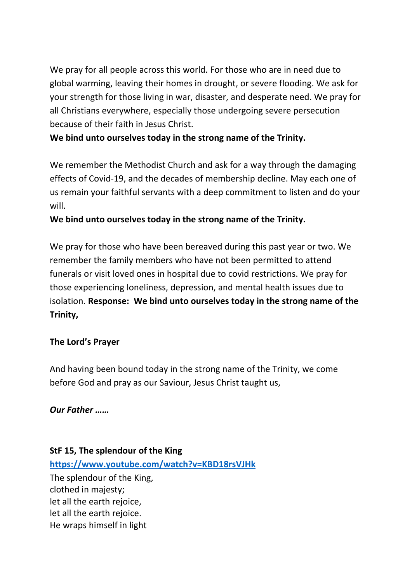We pray for all people across this world. For those who are in need due to global warming, leaving their homes in drought, or severe flooding. We ask for your strength for those living in war, disaster, and desperate need. We pray for all Christians everywhere, especially those undergoing severe persecution because of their faith in Jesus Christ.

**We bind unto ourselves today in the strong name of the Trinity.**

We remember the Methodist Church and ask for a way through the damaging effects of Covid-19, and the decades of membership decline. May each one of us remain your faithful servants with a deep commitment to listen and do your will.

## **We bind unto ourselves today in the strong name of the Trinity.**

We pray for those who have been bereaved during this past year or two. We remember the family members who have not been permitted to attend funerals or visit loved ones in hospital due to covid restrictions. We pray for those experiencing loneliness, depression, and mental health issues due to isolation. **Response: We bind unto ourselves today in the strong name of the Trinity,**

### **The Lord's Prayer**

And having been bound today in the strong name of the Trinity, we come before God and pray as our Saviour, Jesus Christ taught us,

### *Our Father ……*

### **StF 15, The splendour of the King**

**<https://www.youtube.com/watch?v=KBD18rsVJHk>** The splendour of the King, clothed in majesty; let all the earth rejoice, let all the earth rejoice. He wraps himself in light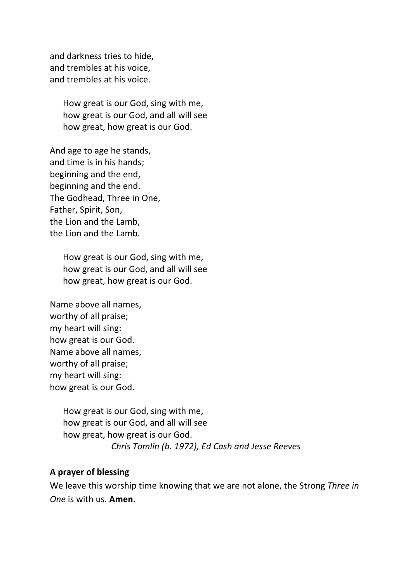and darkness tries to hide, and trembles at his voice, and trembles at his voice.

> How great is our God, sing with me, how great is our God, and all will see how great, how great is our God.

And age to age he stands, and time is in his hands; beginning and the end, beginning and the end. The Godhead, Three in One, Father, Spirit, Son, the Lion and the Lamb, the Lion and the Lamb.

> How great is our God, sing with me, how great is our God, and all will see how great, how great is our God.

Name above all names, worthy of all praise; my heart will sing: how great is our God. Name above all names, worthy of all praise; my heart will sing: how great is our God.

> How great is our God, sing with me, how great is our God, and all will see how great, how great is our God. *Chris Tomlin (b. 1972), Ed Cash and Jesse Reeves*

#### **A prayer of blessing**

We leave this worship time knowing that we are not alone, the Strong *Three in One* is with us. **Amen.**